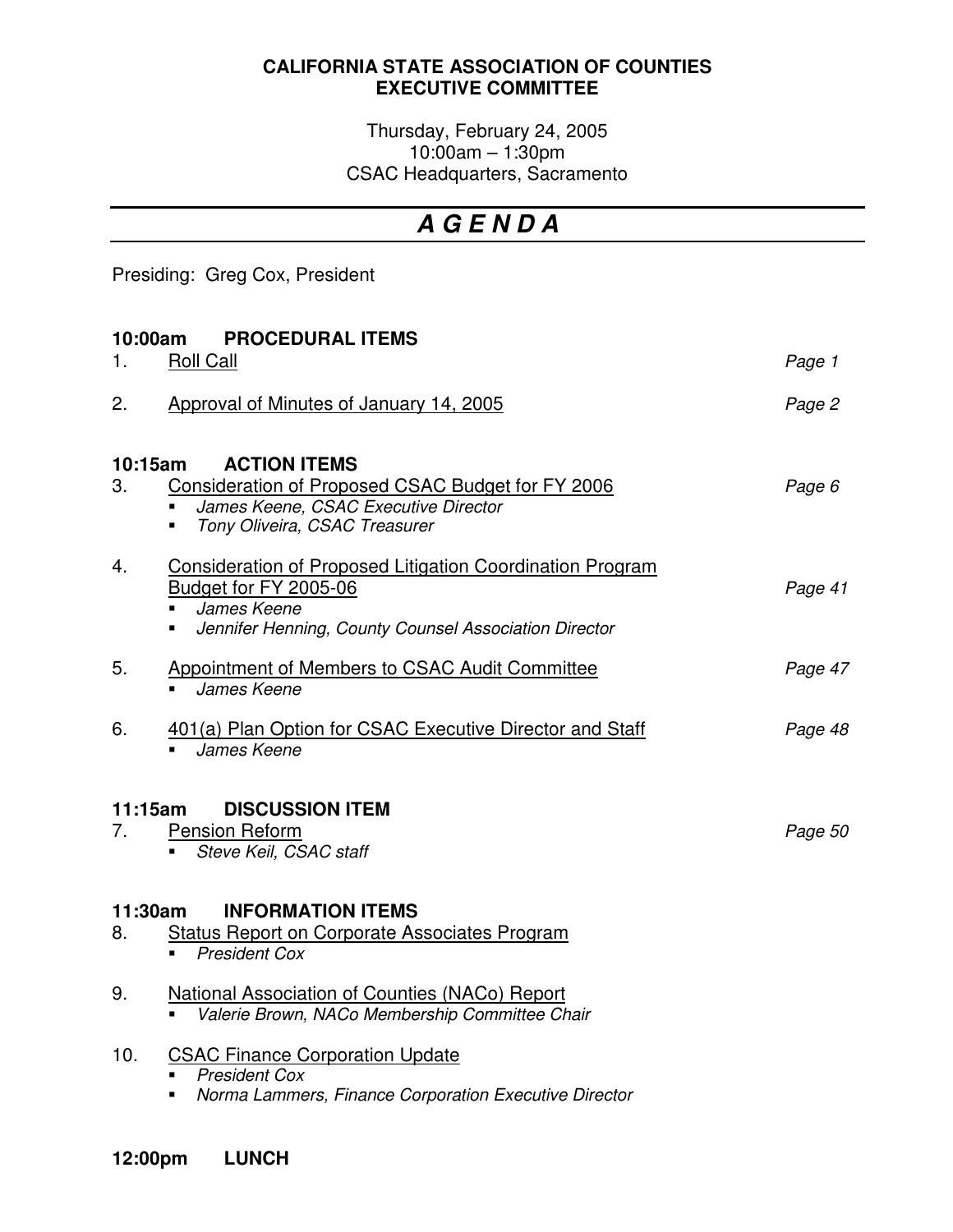## **CALIFORNIA STATE ASSOCIATION OF COUNTIES EXECUTIVE COMMITTEE**

Thursday, February 24, 2005 10:00am – 1:30pm CSAC Headquarters, Sacramento

## *A G E N D A*

Presiding: Greg Cox, President

| 10:00am<br><b>PROCEDURAL ITEMS</b>                                                                                             |                                                                                                                                                                                          |         |  |
|--------------------------------------------------------------------------------------------------------------------------------|------------------------------------------------------------------------------------------------------------------------------------------------------------------------------------------|---------|--|
| 1.                                                                                                                             | <b>Roll Call</b>                                                                                                                                                                         | Page 1  |  |
| 2.                                                                                                                             | Approval of Minutes of January 14, 2005                                                                                                                                                  | Page 2  |  |
| <b>ACTION ITEMS</b><br>10:15am                                                                                                 |                                                                                                                                                                                          |         |  |
| 3.                                                                                                                             | Consideration of Proposed CSAC Budget for FY 2006<br>James Keene, CSAC Executive Director<br>Tony Oliveira, CSAC Treasurer<br>٠                                                          | Page 6  |  |
| 4.                                                                                                                             | <b>Consideration of Proposed Litigation Coordination Program</b><br>Budget for FY 2005-06<br>James Keene<br>$\blacksquare$<br>Jennifer Henning, County Counsel Association Director<br>٠ | Page 41 |  |
| 5.                                                                                                                             | Appointment of Members to CSAC Audit Committee<br>James Keene                                                                                                                            | Page 47 |  |
| 6.                                                                                                                             | 401(a) Plan Option for CSAC Executive Director and Staff<br>James Keene                                                                                                                  | Page 48 |  |
| 11:15am<br>7.                                                                                                                  | <b>DISCUSSION ITEM</b><br><b>Pension Reform</b><br>Steve Keil, CSAC staff                                                                                                                | Page 50 |  |
| <b>INFORMATION ITEMS</b><br>11:30am<br><b>Status Report on Corporate Associates Program</b><br>8.<br><b>President Cox</b><br>٠ |                                                                                                                                                                                          |         |  |
|                                                                                                                                |                                                                                                                                                                                          |         |  |
| 9.                                                                                                                             | <b>National Association of Counties (NACo) Report</b><br>Valerie Brown, NACo Membership Committee Chair                                                                                  |         |  |
| 10.                                                                                                                            | <b>CSAC Finance Corporation Update</b><br><b>President Cox</b><br>Norma Lammers, Finance Corporation Executive Director                                                                  |         |  |